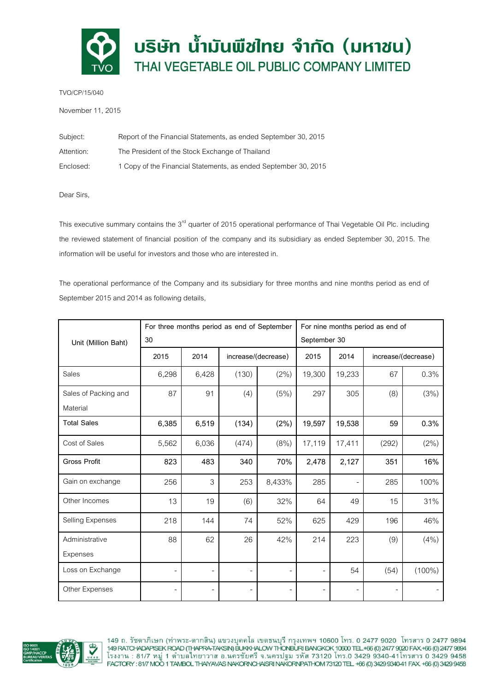

TVO/CP/15/040

November 11, 2015

| Subject:   | Report of the Financial Statements, as ended September 30, 2015 |
|------------|-----------------------------------------------------------------|
| Attention: | The President of the Stock Exchange of Thailand                 |
| Enclosed:  | 1 Copy of the Financial Statements, as ended September 30, 2015 |

Dear Sirs,

This executive summary contains the 3<sup>rd</sup> quarter of 2015 operational performance of Thai Vegetable Oil Plc. including the reviewed statement of financial position of the company and its subsidiary as ended September 30, 2015. The information will be useful for investors and those who are interested in.

The operational performance of the Company and its subsidiary for three months and nine months period as end of September 2015 and 2014 as following details,

|                      | For three months period as end of September |       |                     |        | For nine months period as end of |        |                     |           |
|----------------------|---------------------------------------------|-------|---------------------|--------|----------------------------------|--------|---------------------|-----------|
| Unit (Million Baht)  | 30                                          |       |                     |        | September 30                     |        |                     |           |
|                      | 2015                                        | 2014  | increase/(decrease) |        | 2015                             | 2014   | increase/(decrease) |           |
| Sales                | 6,298                                       | 6,428 | (130)               | (2%)   | 19,300                           | 19,233 | 67                  | 0.3%      |
| Sales of Packing and | 87                                          | 91    | (4)                 | (5%)   | 297                              | 305    | (8)                 | (3%)      |
| Material             |                                             |       |                     |        |                                  |        |                     |           |
| <b>Total Sales</b>   | 6,385                                       | 6,519 | (134)               | (2%)   | 19,597                           | 19,538 | 59                  | 0.3%      |
| Cost of Sales        | 5,562                                       | 6,036 | (474)               | (8% )  | 17,119                           | 17,411 | (292)               | (2%)      |
| <b>Gross Profit</b>  | 823                                         | 483   | 340                 | 70%    | 2,478                            | 2,127  | 351                 | 16%       |
| Gain on exchange     | 256                                         | 3     | 253                 | 8,433% | 285                              |        | 285                 | 100%      |
| Other Incomes        | 13                                          | 19    | (6)                 | 32%    | 64                               | 49     | 15                  | 31%       |
| Selling Expenses     | 218                                         | 144   | 74                  | 52%    | 625                              | 429    | 196                 | 46%       |
| Administrative       | 88                                          | 62    | 26                  | 42%    | 214                              | 223    | (9)                 | (4% )     |
| Expenses             |                                             |       |                     |        |                                  |        |                     |           |
| Loss on Exchange     |                                             |       |                     |        |                                  | 54     | (54)                | $(100\%)$ |
| Other Expenses       |                                             |       |                     |        |                                  |        |                     |           |



149 ถ. รัชดาภิเษก (ท่าพระ-ตากสิน) แขวงบุคคโล เขตธนบุรี กรุงเทพฯ 10600 โทร. 0 2477 9020 โทรสาร 0 2477 9894<br>149RATCHADAPISEK ROAD (THAPRA-TAKSIN)BUKKHALOW THONBURI BANGKOK 10600 TEL.+66 (0)2477 9020 FAX.+66 (0)2477 9894<br>โร FACTORY: 81/7 MOO 1 TAMBOL THAYAVAS NAKORNCHAISRI NAKORNPATHOM 73120 TEL +66 (0) 3429 9340-41 FAX +66 (0) 3429 9458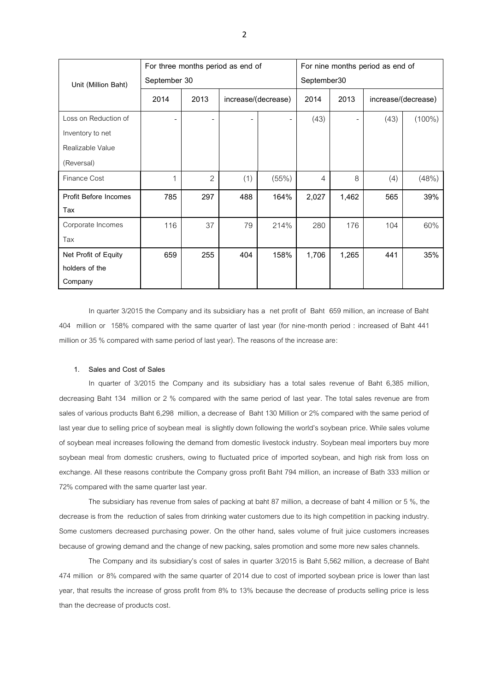|                       | For three months period as end of |                |     |                     | For nine months period as end of |       |                     |           |
|-----------------------|-----------------------------------|----------------|-----|---------------------|----------------------------------|-------|---------------------|-----------|
| Unit (Million Baht)   | September 30                      |                |     |                     | September30                      |       |                     |           |
|                       | 2014                              | 2013           |     | increase/(decrease) | 2014                             | 2013  | increase/(decrease) |           |
| Loss on Reduction of  |                                   |                |     |                     | (43)                             |       | (43)                | $(100\%)$ |
| Inventory to net      |                                   |                |     |                     |                                  |       |                     |           |
| Realizable Value      |                                   |                |     |                     |                                  |       |                     |           |
| (Reversal)            |                                   |                |     |                     |                                  |       |                     |           |
| Finance Cost          | 1                                 | $\overline{2}$ | (1) | (55%)               | 4                                | 8     | (4)                 | (48%)     |
| Profit Before Incomes | 785                               | 297            | 488 | 164%                | 2,027                            | 1,462 | 565                 | 39%       |
| Tax                   |                                   |                |     |                     |                                  |       |                     |           |
| Corporate Incomes     | 116                               | 37             | 79  | 214%                | 280                              | 176   | 104                 | 60%       |
| Tax                   |                                   |                |     |                     |                                  |       |                     |           |
| Net Profit of Equity  | 659                               | 255            | 404 | 158%                | 1,706                            | 1,265 | 441                 | 35%       |
| holders of the        |                                   |                |     |                     |                                  |       |                     |           |
| Company               |                                   |                |     |                     |                                  |       |                     |           |

In quarter 3/2015 the Company and its subsidiary has a net profit of Baht 659 million, an increase of Baht 404 million or 158% compared with the same quarter of last year (for nine-month period : increased of Baht 441 million or 35 % compared with same period of last year). The reasons of the increase are:

### **1. Sales and Cost of Sales**

In quarter of 3/2015 the Company and its subsidiary has a total sales revenue of Baht 6,385 million, decreasing Baht 134 million or 2 % compared with the same period of last year. The total sales revenue are from sales of various products Baht 6,298 million, a decrease of Baht 130 Million or 2% compared with the same period of last year due to selling price of soybean meal is slightly down following the world's soybean price. While sales volume of soybean meal increases following the demand from domestic livestock industry. Soybean meal importers buy more soybean meal from domestic crushers, owing to fluctuated price of imported soybean, and high risk from loss on exchange. All these reasons contribute the Company gross profit Baht 794 million, an increase of Bath 333 million or 72% compared with the same quarter last year.

The subsidiary has revenue from sales of packing at baht 87 million, a decrease of baht 4 million or 5 %, the decrease is from the reduction of sales from drinking water customers due to its high competition in packing industry. Some customers decreased purchasing power. On the other hand, sales volume of fruit juice customers increases because of growing demand and the change of new packing, sales promotion and some more new sales channels.

The Company and its subsidiary's cost of sales in quarter 3/2015 is Baht 5,562 million, a decrease of Baht 474 million or 8% compared with the same quarter of 2014 due to cost of imported soybean price is lower than last year, that results the increase of gross profit from 8% to 13% because the decrease of products selling price is less than the decrease of products cost.